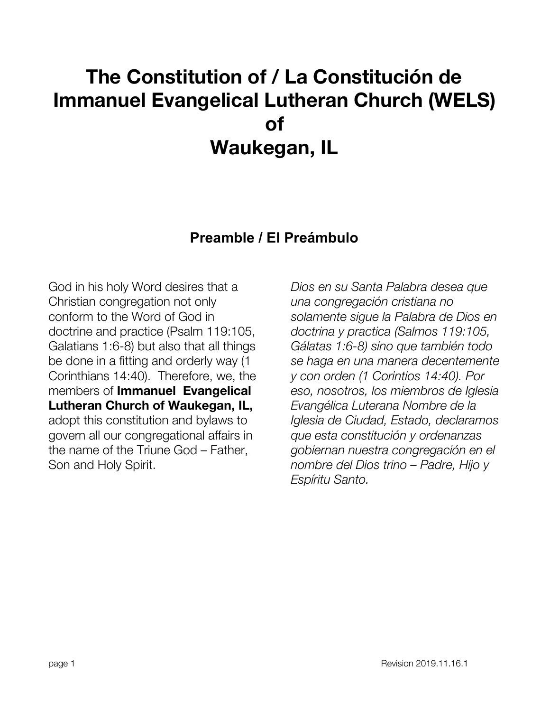# **The Constitution of / La Constitución de Immanuel Evangelical Lutheran Church (WELS) of Waukegan, IL**

### **Preamble / El Preámbulo**

<span id="page-0-0"></span>God in his holy Word desires that a Christian congregation not only conform to the Word of God in doctrine and practice (Psalm 119:105, Galatians 1:6-8) but also that all things be done in a fitting and orderly way (1 Corinthians 14:40). Therefore, we, the members of **Immanuel Evangelical Lutheran Church of Waukegan, IL,** adopt this constitution and bylaws to govern all our congregational affairs in the name of the Triune God – Father, Son and Holy Spirit.

*Dios en su Santa Palabra desea que una congregación cristiana no solamente sigue la Palabra de Dios en doctrina y practica (Salmos 119:105, Gálatas 1:6-8) sino que también todo se haga en una manera decentemente y con orden (1 Corintios 14:40). Por eso, nosotros, los miembros de Iglesia Evangélica Luterana Nombre de la Iglesia de Ciudad, Estado, declaramos que esta constitución y ordenanzas gobiernan nuestra congregación en el nombre del Dios trino – Padre, Hijo y Espíritu Santo.*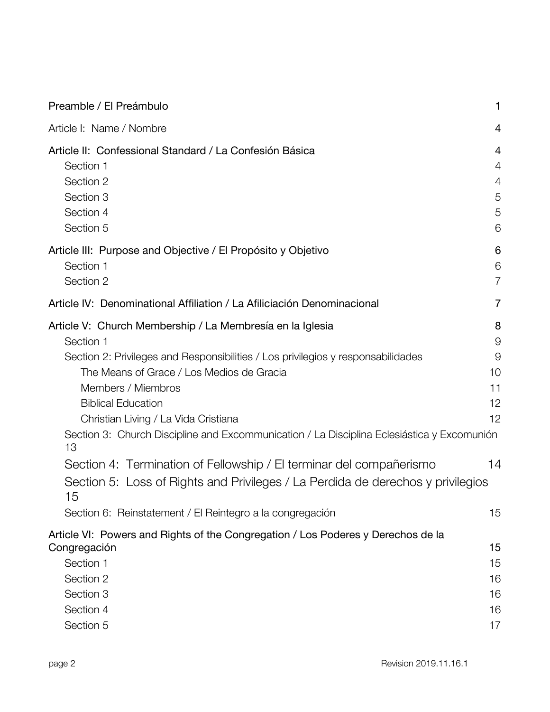| Preamble / El Preámbulo                                                                                                                                                                                                                                                                                                                                                                                                                                                                                                                                                                                                             | 1                                               |
|-------------------------------------------------------------------------------------------------------------------------------------------------------------------------------------------------------------------------------------------------------------------------------------------------------------------------------------------------------------------------------------------------------------------------------------------------------------------------------------------------------------------------------------------------------------------------------------------------------------------------------------|-------------------------------------------------|
| Article I: Name / Nombre                                                                                                                                                                                                                                                                                                                                                                                                                                                                                                                                                                                                            | 4                                               |
| Article II: Confessional Standard / La Confesión Básica<br>Section 1<br>Section 2<br>Section 3<br>Section 4<br>Section 5                                                                                                                                                                                                                                                                                                                                                                                                                                                                                                            | 4<br>4<br>4<br>5<br>5<br>6                      |
| Article III: Purpose and Objective / El Propósito y Objetivo<br>Section 1<br>Section 2                                                                                                                                                                                                                                                                                                                                                                                                                                                                                                                                              | 6<br>6<br>$\overline{7}$                        |
| Article IV: Denominational Affiliation / La Afiliciación Denominacional                                                                                                                                                                                                                                                                                                                                                                                                                                                                                                                                                             | $\overline{7}$                                  |
| Article V: Church Membership / La Membresía en la Iglesia<br>Section 1<br>Section 2: Privileges and Responsibilities / Los privilegios y responsabilidades<br>The Means of Grace / Los Medios de Gracia<br>Members / Miembros<br><b>Biblical Education</b><br>Christian Living / La Vida Cristiana<br>Section 3: Church Discipline and Excommunication / La Disciplina Eclesiástica y Excomunión<br>13<br>Section 4: Termination of Fellowship / El terminar del compañerismo<br>Section 5: Loss of Rights and Privileges / La Perdida de derechos y privilegios<br>15<br>Section 6: Reinstatement / El Reintegro a la congregación | 8<br>9<br>9<br>10<br>11<br>12<br>12<br>14<br>15 |
| Article VI: Powers and Rights of the Congregation / Los Poderes y Derechos de la<br>Congregación<br>Section 1<br>Section 2<br>Section 3<br>Section 4<br>Section 5                                                                                                                                                                                                                                                                                                                                                                                                                                                                   | 15<br>15<br>16<br>16<br>16<br>17                |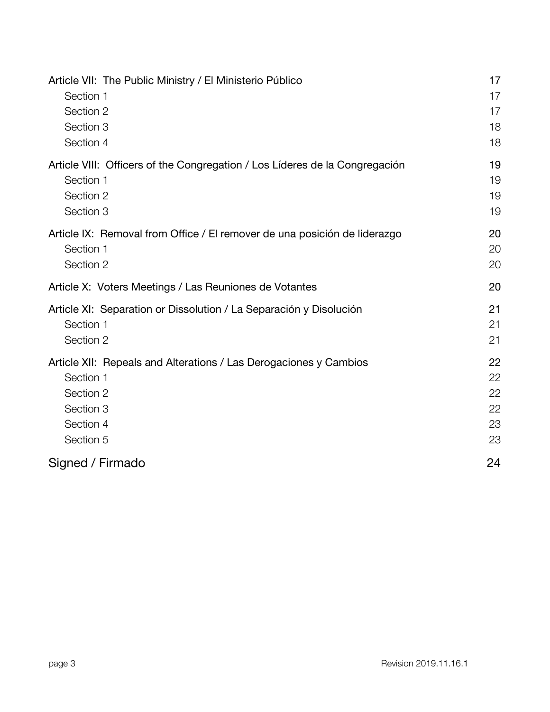| Article VII: The Public Ministry / El Ministerio Público                    | 17 |
|-----------------------------------------------------------------------------|----|
| Section 1                                                                   | 17 |
| Section 2                                                                   | 17 |
| Section 3                                                                   | 18 |
| Section 4                                                                   | 18 |
| Article VIII: Officers of the Congregation / Los Líderes de la Congregación | 19 |
| Section 1                                                                   | 19 |
| Section 2                                                                   | 19 |
| Section 3                                                                   | 19 |
| Article IX: Removal from Office / El remover de una posición de liderazgo   | 20 |
| Section 1                                                                   | 20 |
| Section 2                                                                   | 20 |
| Article X: Voters Meetings / Las Reuniones de Votantes                      | 20 |
| Article XI: Separation or Dissolution / La Separación y Disolución          | 21 |
| Section 1                                                                   | 21 |
| Section 2                                                                   | 21 |
| Article XII: Repeals and Alterations / Las Derogaciones y Cambios           | 22 |
| Section 1                                                                   | 22 |
| Section 2                                                                   | 22 |
| Section 3                                                                   | 22 |
| Section 4                                                                   | 23 |
| Section 5                                                                   | 23 |
| Signed / Firmado                                                            | 24 |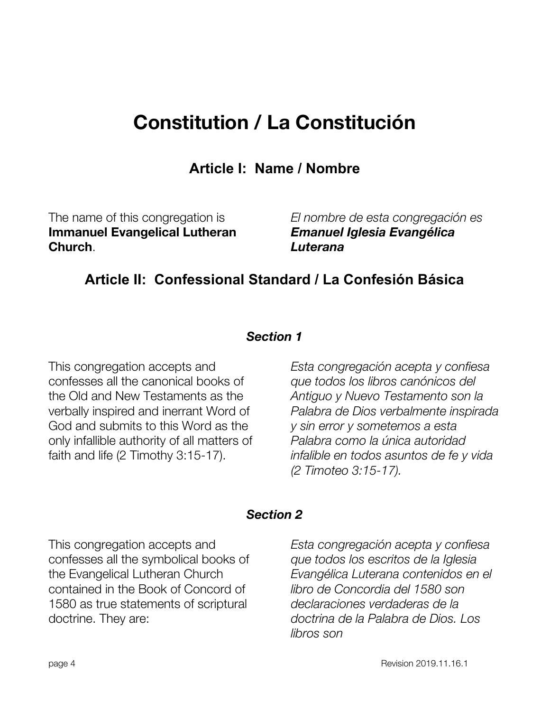# **Constitution / La Constitución**

**Article I: Name / Nombre**

<span id="page-3-0"></span>The name of this congregation is **Immanuel Evangelical Lutheran Church**.

*El nombre de esta congregación es Emanuel Iglesia Evangélica Luterana*

## <span id="page-3-1"></span>**Article II: Confessional Standard / La Confesión Básica**

#### *Section 1*

<span id="page-3-2"></span>This congregation accepts and confesses all the canonical books of the Old and New Testaments as the verbally inspired and inerrant Word of God and submits to this Word as the only infallible authority of all matters of faith and life (2 Timothy 3:15-17).

*Esta congregación acepta y confiesa que todos los libros canónicos del Antiguo y Nuevo Testamento son la Palabra de Dios verbalmente inspirada y sin error y sometemos a esta Palabra como la única autoridad infalible en todos asuntos de fe y vida (2 Timoteo 3:15-17).*

#### *Section 2*

<span id="page-3-3"></span>This congregation accepts and confesses all the symbolical books of the Evangelical Lutheran Church contained in the Book of Concord of 1580 as true statements of scriptural doctrine. They are:

*Esta congregación acepta y confiesa que todos los escritos de la Iglesia Evangélica Luterana contenidos en el libro de Concordia del 1580 son declaraciones verdaderas de la doctrina de la Palabra de Dios. Los libros son*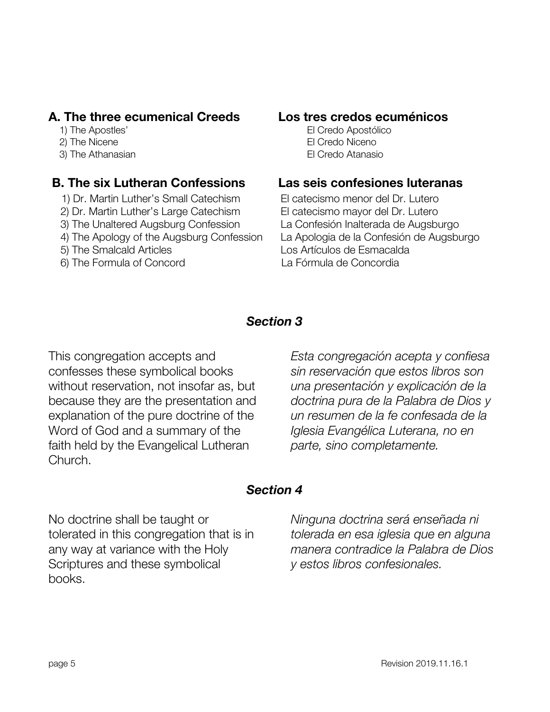#### **A. The three ecumenical Creeds Los tres credos ecuménicos**

- 
- 
- 

#### **B. The six Lutheran Confessions Las seis confesiones luteranas**

- 1) Dr. Martin Luther's Small Catechism El catecismo menor del Dr. Lutero
- 2) Dr. Martin Luther's Large Catechism El catecismo mayor del Dr. Lutero
- 3) The Unaltered Augsburg Confession La Confesión Inalterada de Augsburgo
- 4) The Apology of the Augsburg Confession La Apologia de la Confesión de Augsburgo
- 
- 6) The Formula of Concord La Fórmula de Concordia

1) The Apostles' El Credo Apostólico 2) The Nicene **El Credo Niceno** 3) The Athanasian El Credo Atanasio

5) The Smalcald Articles Los Artículos de Esmacalda

#### *Section 3*

<span id="page-4-0"></span>This congregation accepts and confesses these symbolical books without reservation, not insofar as, but because they are the presentation and explanation of the pure doctrine of the Word of God and a summary of the faith held by the Evangelical Lutheran Church.

*Esta congregación acepta y confiesa sin reservación que estos libros son una presentación y explicación de la doctrina pura de la Palabra de Dios y un resumen de la fe confesada de la Iglesia Evangélica Luterana, no en parte, sino completamente.*

#### *Section 4*

<span id="page-4-1"></span>No doctrine shall be taught or tolerated in this congregation that is in any way at variance with the Holy Scriptures and these symbolical books.

*Ninguna doctrina será enseñada ni tolerada en esa iglesia que en alguna manera contradice la Palabra de Dios y estos libros confesionales.*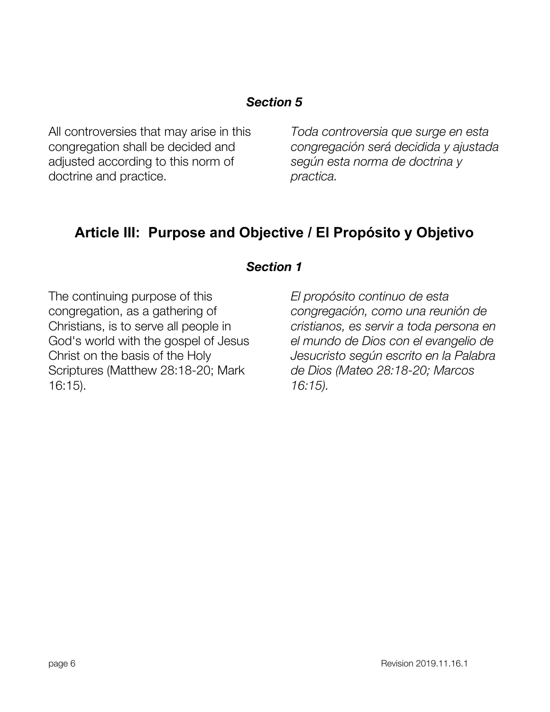<span id="page-5-0"></span>All controversies that may arise in this congregation shall be decided and adjusted according to this norm of doctrine and practice.

*Toda controversia que surge en esta congregación será decidida y ajustada según esta norma de doctrina y practica.*

## <span id="page-5-1"></span>**Article III: Purpose and Objective / El Propósito y Objetivo**

#### *Section 1*

<span id="page-5-2"></span>The continuing purpose of this congregation, as a gathering of Christians, is to serve all people in God's world with the gospel of Jesus Christ on the basis of the Holy Scriptures (Matthew 28:18-20; Mark 16:15).

*El propósito continuo de esta congregación, como una reunión de cristianos, es servir a toda persona en el mundo de Dios con el evangelio de Jesucristo según escrito en la Palabra de Dios (Mateo 28:18-20; Marcos 16:15).*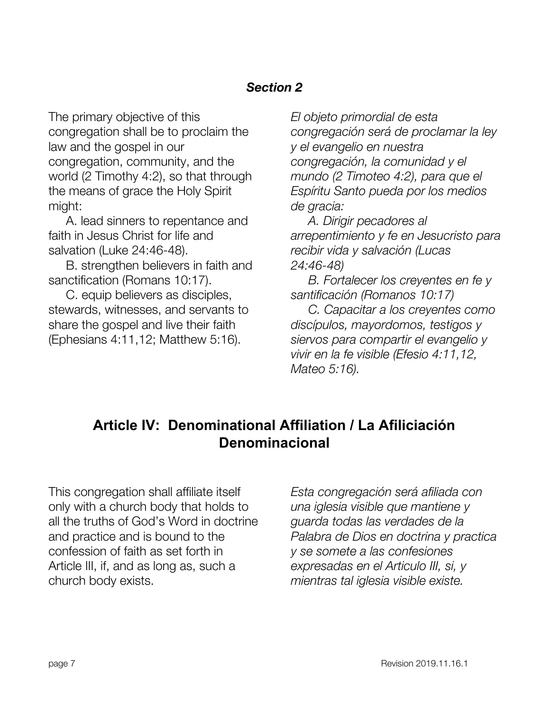<span id="page-6-0"></span>The primary objective of this congregation shall be to proclaim the law and the gospel in our congregation, community, and the world (2 Timothy 4:2), so that through the means of grace the Holy Spirit might:

A. lead sinners to repentance and faith in Jesus Christ for life and salvation (Luke 24:46-48).

B. strengthen believers in faith and sanctification (Romans 10:17).

C. equip believers as disciples, stewards, witnesses, and servants to share the gospel and live their faith (Ephesians 4:11,12; Matthew 5:16).

*El objeto primordial de esta congregación será de proclamar la ley y el evangelio en nuestra congregación, la comunidad y el mundo (2 Timoteo 4:2), para que el Espíritu Santo pueda por los medios de gracia:*

*A. Dirigir pecadores al arrepentimiento y fe en Jesucristo para recibir vida y salvación (Lucas 24:46-48)*

*B. Fortalecer los creyentes en fe y santificación (Romanos 10:17)*

*C. Capacitar a los creyentes como discípulos, mayordomos, testigos y siervos para compartir el evangelio y vivir en la fe visible (Efesio 4:11,12, Mateo 5:16).*

## <span id="page-6-1"></span>**Article IV: Denominational Affiliation / La Afiliciación Denominacional**

<span id="page-6-2"></span>This congregation shall affiliate itself only with a church body that holds to all the truths of God's Word in doctrine and practice and is bound to the confession of faith as set forth in Article III, if, and as long as, such a church body exists.

*Esta congregación será afiliada con una iglesia visible que mantiene y guarda todas las verdades de la Palabra de Dios en doctrina y practica y se somete a las confesiones expresadas en el Articulo III, si, y mientras tal iglesia visible existe.*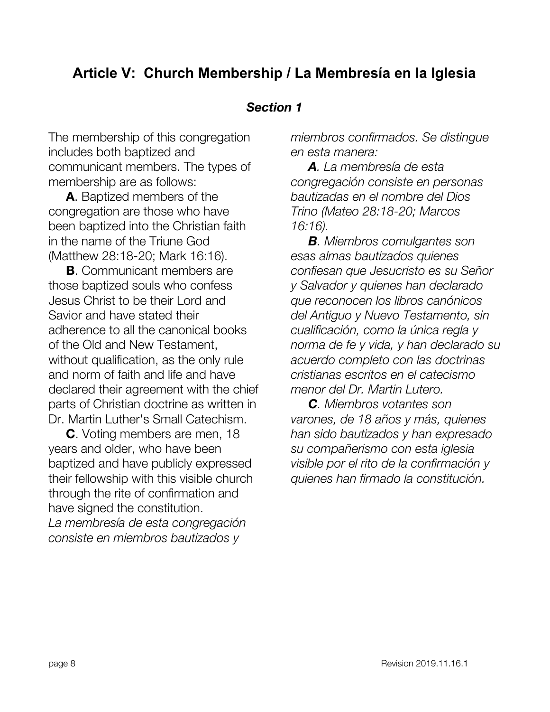## **Article V: Church Membership / La Membresía en la Iglesia**

#### *Section 1*

<span id="page-7-0"></span>The membership of this congregation includes both baptized and communicant members. The types of membership are as follows:

**A**. Baptized members of the congregation are those who have been baptized into the Christian faith in the name of the Triune God (Matthew 28:18-20; Mark 16:16).

**B**. Communicant members are those baptized souls who confess Jesus Christ to be their Lord and Savior and have stated their adherence to all the canonical books of the Old and New Testament, without qualification, as the only rule and norm of faith and life and have declared their agreement with the chief parts of Christian doctrine as written in Dr. Martin Luther's Small Catechism.

<span id="page-7-1"></span>**C**. Voting members are men, 18 years and older, who have been baptized and have publicly expressed their fellowship with this visible church through the rite of confirmation and have signed the constitution. *La membresía de esta congregación consiste en miembros bautizados y*

*miembros confirmados. Se distingue en esta manera:*

*A. La membresía de esta congregación consiste en personas bautizadas en el nombre del Dios Trino (Mateo 28:18-20; Marcos 16:16).*

*B. Miembros comulgantes son esas almas bautizados quienes confiesan que Jesucristo es su Señor y Salvador y quienes han declarado que reconocen los libros canónicos del Antiguo y Nuevo Testamento, sin cualificación, como la única regla y norma de fe y vida, y han declarado su acuerdo completo con las doctrinas cristianas escritos en el catecismo menor del Dr. Martin Lutero.*

*C. Miembros votantes son varones, de 18 años y más, quienes han sido bautizados y han expresado su compañerismo con esta iglesia visible por el rito de la confirmación y quienes han firmado la constitución.*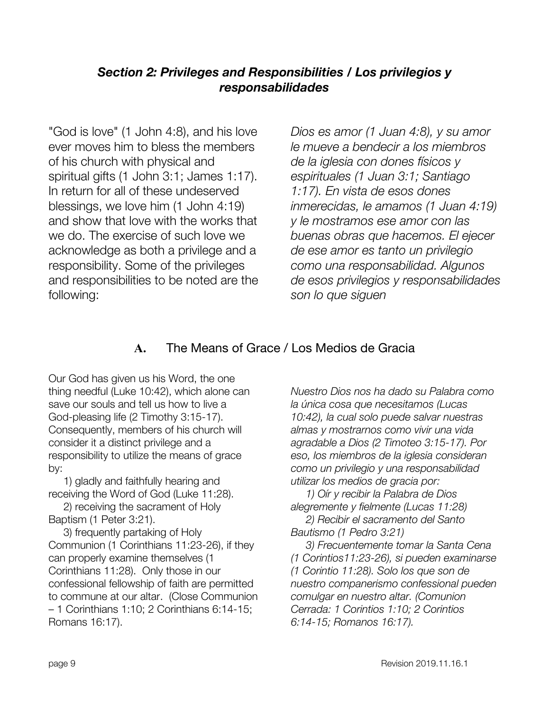#### *Section 2: Privileges and Responsibilities / Los privilegios y responsabilidades*

"God is love" (1 John 4:8), and his love ever moves him to bless the members of his church with physical and spiritual gifts (1 John 3:1; James 1:17). In return for all of these undeserved blessings, we love him (1 John 4:19) and show that love with the works that we do. The exercise of such love we acknowledge as both a privilege and a responsibility. Some of the privileges and responsibilities to be noted are the following:

*Dios es amor (1 Juan 4:8), y su amor le mueve a bendecir a los miembros de la iglesia con dones físicos y espirituales (1 Juan 3:1; Santiago 1:17). En vista de esos dones inmerecidas, le amamos (1 Juan 4:19) y le mostramos ese amor con las buenas obras que hacemos. El ejecer de ese amor es tanto un privilegio como una responsabilidad. Algunos de esos privilegios y responsabilidades son lo que siguen*

#### **A.** The Means of Grace / Los Medios de Gracia

<span id="page-8-0"></span>Our God has given us his Word, the one thing needful (Luke 10:42), which alone can save our souls and tell us how to live a God-pleasing life (2 Timothy 3:15-17). Consequently, members of his church will consider it a distinct privilege and a responsibility to utilize the means of grace by:

 1) gladly and faithfully hearing and receiving the Word of God (Luke 11:28).

 2) receiving the sacrament of Holy Baptism (1 Peter 3:21).

 3) frequently partaking of Holy Communion (1 Corinthians 11:23-26), if they can properly examine themselves (1 Corinthians 11:28). Only those in our confessional fellowship of faith are permitted to commune at our altar. (Close Communion – 1 Corinthians 1:10; 2 Corinthians 6:14-15; Romans 16:17).

*Nuestro Dios nos ha dado su Palabra como la única cosa que necesitamos (Lucas 10:42), la cual solo puede salvar nuestras almas y mostrarnos como vivir una vida agradable a Dios (2 Timoteo 3:15-17). Por eso, los miembros de la iglesia consideran como un privilegio y una responsabilidad utilizar los medios de gracia por:*

 *1) Oír y recibir la Palabra de Dios alegremente y fielmente (Lucas 11:28)*

 *2) Recibir el sacramento del Santo Bautismo (1 Pedro 3:21)*

 *3) Frecuentemente tomar la Santa Cena (1 Corintios11:23-26), si pueden examinarse (1 Corintio 11:28). Solo los que son de nuestro companerismo confessional pueden comulgar en nuestro altar. (Comunion Cerrada: 1 Corintios 1:10; 2 Corintios 6:14-15; Romanos 16:17).*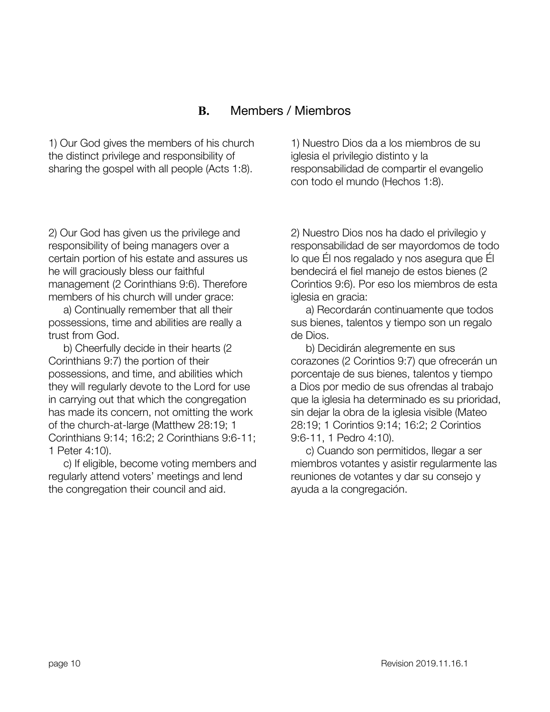#### **B.** Members / Miembros

<span id="page-9-0"></span>1) Our God gives the members of his church the distinct privilege and responsibility of sharing the gospel with all people (Acts 1:8).

2) Our God has given us the privilege and responsibility of being managers over a certain portion of his estate and assures us he will graciously bless our faithful management (2 Corinthians 9:6). Therefore members of his church will under grace:

 a) Continually remember that all their possessions, time and abilities are really a trust from God.

 b) Cheerfully decide in their hearts (2 Corinthians 9:7) the portion of their possessions, and time, and abilities which they will regularly devote to the Lord for use in carrying out that which the congregation has made its concern, not omitting the work of the church-at-large (Matthew 28:19; 1 Corinthians 9:14; 16:2; 2 Corinthians 9:6-11; 1 Peter 4:10).

 c) If eligible, become voting members and regularly attend voters' meetings and lend the congregation their council and aid.

1) Nuestro Dios da a los miembros de su iglesia el privilegio distinto y la responsabilidad de compartir el evangelio con todo el mundo (Hechos 1:8).

2) Nuestro Dios nos ha dado el privilegio y responsabilidad de ser mayordomos de todo lo que Él nos regalado y nos asegura que Él bendecirá el fiel manejo de estos bienes (2 Corintios 9:6). Por eso los miembros de esta iglesia en gracia:

 a) Recordarán continuamente que todos sus bienes, talentos y tiempo son un regalo de Dios.

 b) Decidirán alegremente en sus corazones (2 Corintios 9:7) que ofrecerán un porcentaje de sus bienes, talentos y tiempo a Dios por medio de sus ofrendas al trabajo que la iglesia ha determinado es su prioridad, sin dejar la obra de la iglesia visible (Mateo 28:19; 1 Corintios 9:14; 16:2; 2 Corintios 9:6-11, 1 Pedro 4:10).

 c) Cuando son permitidos, llegar a ser miembros votantes y asistir regularmente las reuniones de votantes y dar su consejo y ayuda a la congregación.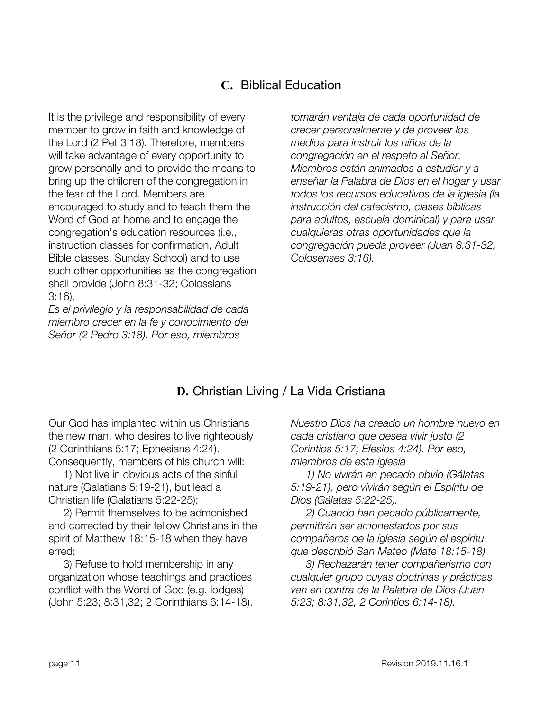### **C.** Biblical Education

<span id="page-10-0"></span>It is the privilege and responsibility of every member to grow in faith and knowledge of the Lord (2 Pet 3:18). Therefore, members will take advantage of every opportunity to grow personally and to provide the means to bring up the children of the congregation in the fear of the Lord. Members are encouraged to study and to teach them the Word of God at home and to engage the congregation's education resources (i.e., instruction classes for confirmation, Adult Bible classes, Sunday School) and to use such other opportunities as the congregation shall provide (John 8:31-32; Colossians 3:16).

*Es el privilegio y la responsabilidad de cada miembro crecer en la fe y conocimiento del Señor (2 Pedro 3:18). Por eso, miembros*

*tomarán ventaja de cada oportunidad de crecer personalmente y de proveer los medios para instruir los niños de la congregación en el respeto al Señor. Miembros están animados a estudiar y a enseñar la Palabra de Dios en el hogar y usar todos los recursos educativos de la iglesia (la instrucción del catecismo, clases bíblicas para adultos, escuela dominical) y para usar cualquieras otras oportunidades que la congregación pueda proveer (Juan 8:31-32; Colosenses 3:16).*

#### **D.** Christian Living / La Vida Cristiana

<span id="page-10-1"></span>Our God has implanted within us Christians the new man, who desires to live righteously (2 Corinthians 5:17; Ephesians 4:24). Consequently, members of his church will:

 1) Not live in obvious acts of the sinful nature (Galatians 5:19-21), but lead a Christian life (Galatians 5:22-25);

 2) Permit themselves to be admonished and corrected by their fellow Christians in the spirit of Matthew 18:15-18 when they have erred;

 3) Refuse to hold membership in any organization whose teachings and practices conflict with the Word of God (e.g. lodges) (John 5:23; 8:31,32; 2 Corinthians 6:14-18).

*Nuestro Dios ha creado un hombre nuevo en cada cristiano que desea vivir justo (2 Corintios 5:17; Efesios 4:24). Por eso, miembros de esta iglesia*

 *1) No vivirán en pecado obvio (Gálatas 5:19-21), pero vivirán según el Espíritu de Dios (Gálatas 5:22-25).*

 *2) Cuando han pecado públicamente, permitirán ser amonestados por sus compañeros de la iglesia según el espíritu que describió San Mateo (Mate 18:15-18)*

 *3) Rechazarán tener compañerismo con cualquier grupo cuyas doctrinas y prácticas van en contra de la Palabra de Dios (Juan 5:23; 8:31,32, 2 Corintios 6:14-18).*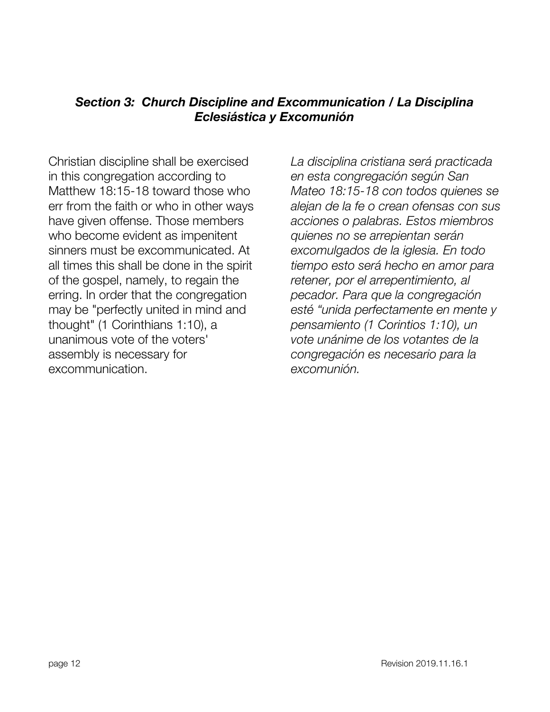#### <span id="page-11-0"></span>*Section 3: Church Discipline and Excommunication / La Disciplina Eclesiástica y Excomunión*

<span id="page-11-1"></span>Christian discipline shall be exercised in this congregation according to Matthew 18:15-18 toward those who err from the faith or who in other ways have given offense. Those members who become evident as impenitent sinners must be excommunicated. At all times this shall be done in the spirit of the gospel, namely, to regain the erring. In order that the congregation may be "perfectly united in mind and thought" (1 Corinthians 1:10), a unanimous vote of the voters' assembly is necessary for excommunication.

*La disciplina cristiana será practicada en esta congregación según San Mateo 18:15-18 con todos quienes se alejan de la fe o crean ofensas con sus acciones o palabras. Estos miembros quienes no se arrepientan serán excomulgados de la iglesia. En todo tiempo esto será hecho en amor para retener, por el arrepentimiento, al pecador. Para que la congregación esté "unida perfectamente en mente y pensamiento (1 Corintios 1:10), un vote unánime de los votantes de la congregación es necesario para la excomunión.*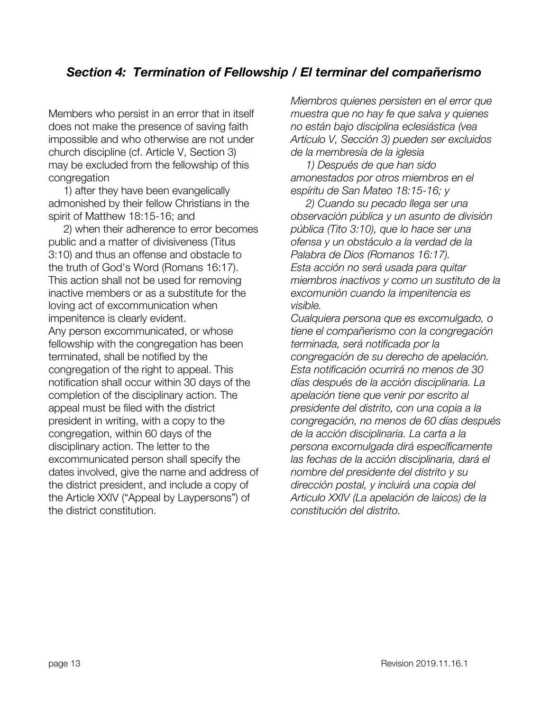#### *Section 4: Termination of Fellowship / El terminar del compañerismo*

Members who persist in an error that in itself does not make the presence of saving faith impossible and who otherwise are not under church discipline (cf. Article V, Section 3) may be excluded from the fellowship of this congregation

 1) after they have been evangelically admonished by their fellow Christians in the spirit of Matthew 18:15-16; and

 2) when their adherence to error becomes public and a matter of divisiveness (Titus 3:10) and thus an offense and obstacle to the truth of God's Word (Romans 16:17). This action shall not be used for removing inactive members or as a substitute for the loving act of excommunication when impenitence is clearly evident. Any person excommunicated, or whose fellowship with the congregation has been terminated, shall be notified by the congregation of the right to appeal. This notification shall occur within 30 days of the completion of the disciplinary action. The appeal must be filed with the district president in writing, with a copy to the congregation, within 60 days of the disciplinary action. The letter to the excommunicated person shall specify the dates involved, give the name and address of the district president, and include a copy of the Article XXIV ("Appeal by Laypersons") of the district constitution.

*Miembros quienes persisten en el error que muestra que no hay fe que salva y quienes no están bajo disciplina eclesiástica (vea Artículo V, Sección 3) pueden ser excluidos de la membresía de la iglesia*

 *1) Después de que han sido amonestados por otros miembros en el espíritu de San Mateo 18:15-16; y*

 *2) Cuando su pecado llega ser una observación pública y un asunto de división pública (Tito 3:10), que lo hace ser una ofensa y un obstáculo a la verdad de la Palabra de Dios (Romanos 16:17). Esta acción no será usada para quitar miembros inactivos y como un sustituto de la excomunión cuando la impenitencia es visible.*

*Cualquiera persona que es excomulgado, o tiene el compañerismo con la congregación terminada, será notificada por la congregación de su derecho de apelación. Esta notificación ocurrirá no menos de 30 días después de la acción disciplinaria. La apelación tiene que venir por escrito al presidente del distrito, con una copia a la congregación, no menos de 60 días después de la acción disciplinaria. La carta a la persona excomulgada dirá específicamente las fechas de la acción disciplinaria, dará el nombre del presidente del distrito y su dirección postal, y incluirá una copia del Articulo XXIV (La apelación de laicos) de la constitución del distrito.*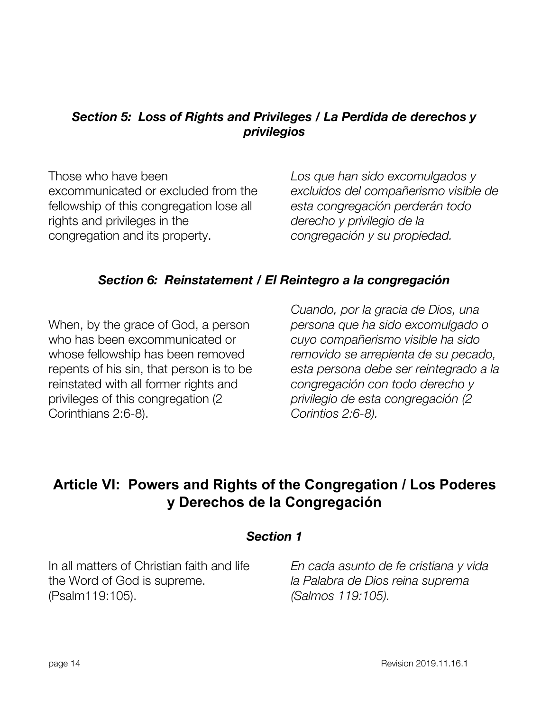#### <span id="page-13-0"></span>*Section 5: Loss of Rights and Privileges / La Perdida de derechos y privilegios*

Those who have been excommunicated or excluded from the fellowship of this congregation lose all rights and privileges in the congregation and its property.

*Los que han sido excomulgados y excluidos del compañerismo visible de esta congregación perderán todo derecho y privilegio de la congregación y su propiedad.*

#### *Section 6: Reinstatement / El Reintegro a la congregación*

<span id="page-13-1"></span>When, by the grace of God, a person who has been excommunicated or whose fellowship has been removed repents of his sin, that person is to be reinstated with all former rights and privileges of this congregation (2 Corinthians 2:6-8).

*Cuando, por la gracia de Dios, una persona que ha sido excomulgado o cuyo compañerismo visible ha sido removido se arrepienta de su pecado, esta persona debe ser reintegrado a la congregación con todo derecho y privilegio de esta congregación (2 Corintios 2:6-8).*

## <span id="page-13-2"></span>**Article VI: Powers and Rights of the Congregation / Los Poderes y Derechos de la Congregación**

#### *Section 1*

<span id="page-13-3"></span>In all matters of Christian faith and life the Word of God is supreme. (Psalm119:105).

*En cada asunto de fe cristiana y vida la Palabra de Dios reina suprema (Salmos 119:105).*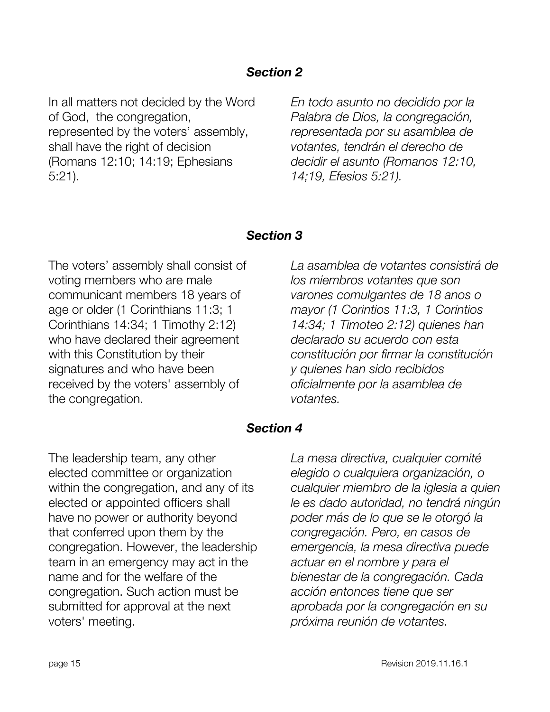<span id="page-14-0"></span>In all matters not decided by the Word of God, the congregation, represented by the voters' assembly, shall have the right of decision (Romans 12:10; 14:19; Ephesians 5:21).

*En todo asunto no decidido por la Palabra de Dios, la congregación, representada por su asamblea de votantes, tendrán el derecho de decidir el asunto (Romanos 12:10, 14;19, Efesios 5:21).*

#### *Section 3*

<span id="page-14-1"></span>The voters' assembly shall consist of voting members who are male communicant members 18 years of age or older (1 Corinthians 11:3; 1 Corinthians 14:34; 1 Timothy 2:12) who have declared their agreement with this Constitution by their signatures and who have been received by the voters' assembly of the congregation.

*La asamblea de votantes consistirá de los miembros votantes que son varones comulgantes de 18 anos o mayor (1 Corintios 11:3, 1 Corintios 14:34; 1 Timoteo 2:12) quienes han declarado su acuerdo con esta constitución por firmar la constitución y quienes han sido recibidos oficialmente por la asamblea de votantes.*

#### *Section 4*

<span id="page-14-2"></span>The leadership team, any other elected committee or organization within the congregation, and any of its elected or appointed officers shall have no power or authority beyond that conferred upon them by the congregation. However, the leadership team in an emergency may act in the name and for the welfare of the congregation. Such action must be submitted for approval at the next voters' meeting.

*La mesa directiva, cualquier comité elegido o cualquiera organización, o cualquier miembro de la iglesia a quien le es dado autoridad, no tendrá ningún poder más de lo que se le otorgó la congregación. Pero, en casos de emergencia, la mesa directiva puede actuar en el nombre y para el bienestar de la congregación. Cada acción entonces tiene que ser aprobada por la congregación en su próxima reunión de votantes.*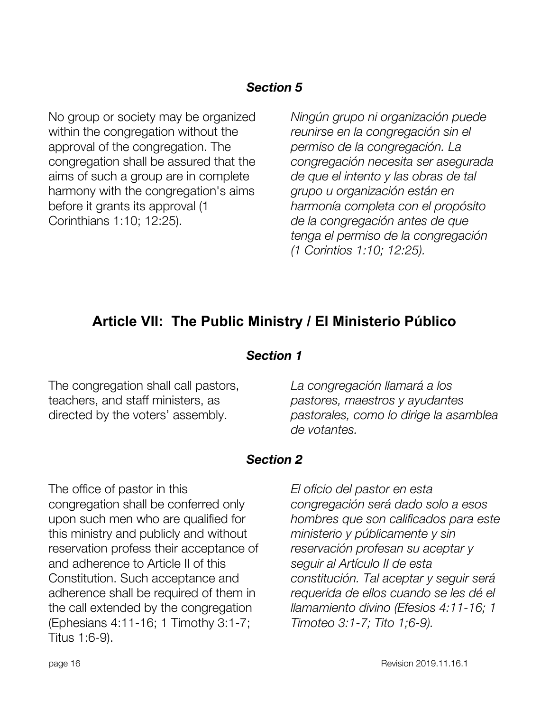<span id="page-15-0"></span>No group or society may be organized within the congregation without the approval of the congregation. The congregation shall be assured that the aims of such a group are in complete harmony with the congregation's aims before it grants its approval (1 Corinthians 1:10; 12:25).

*Ningún grupo ni organización puede reunirse en la congregación sin el permiso de la congregación. La congregación necesita ser asegurada de que el intento y las obras de tal grupo u organización están en harmonía completa con el propósito de la congregación antes de que tenga el permiso de la congregación (1 Corintios 1:10; 12:25).*

## <span id="page-15-1"></span>**Article VII: The Public Ministry / El Ministerio Público**

#### *Section 1*

<span id="page-15-2"></span>The congregation shall call pastors, teachers, and staff ministers, as directed by the voters' assembly.

*La congregación llamará a los pastores, maestros y ayudantes pastorales, como lo dirige la asamblea de votantes.*

#### *Section 2*

<span id="page-15-3"></span>The office of pastor in this congregation shall be conferred only upon such men who are qualified for this ministry and publicly and without reservation profess their acceptance of and adherence to Article II of this Constitution. Such acceptance and adherence shall be required of them in the call extended by the congregation (Ephesians 4:11-16; 1 Timothy 3:1-7; Titus 1:6-9).

*El oficio del pastor en esta congregación será dado solo a esos hombres que son calificados para este ministerio y públicamente y sin reservación profesan su aceptar y seguir al Artículo II de esta constitución. Tal aceptar y seguir será requerida de ellos cuando se les dé el llamamiento divino (Efesios 4:11-16; 1 Timoteo 3:1-7; Tito 1;6-9).*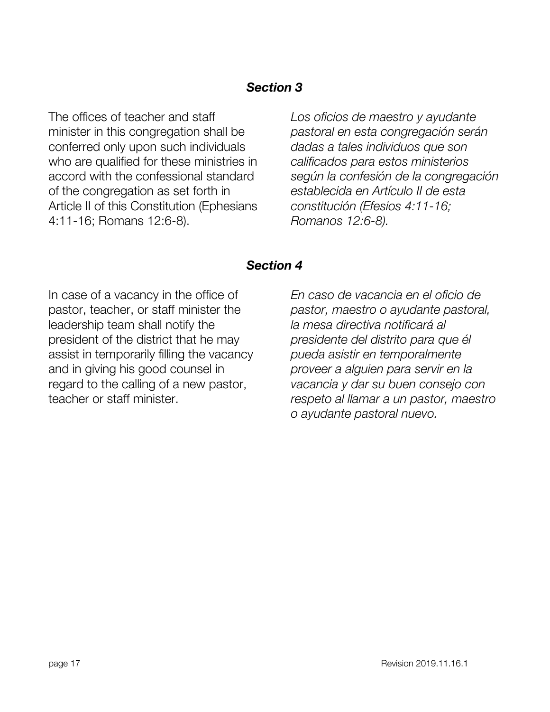<span id="page-16-0"></span>The offices of teacher and staff minister in this congregation shall be conferred only upon such individuals who are qualified for these ministries in accord with the confessional standard of the congregation as set forth in Article II of this Constitution (Ephesians 4:11-16; Romans 12:6-8).

*Los oficios de maestro y ayudante pastoral en esta congregación serán dadas a tales individuos que son calificados para estos ministerios según la confesión de la congregación establecida en Artículo II de esta constitución (Efesios 4:11-16; Romanos 12:6-8).*

#### *Section 4*

<span id="page-16-2"></span><span id="page-16-1"></span>In case of a vacancy in the office of pastor, teacher, or staff minister the leadership team shall notify the president of the district that he may assist in temporarily filling the vacancy and in giving his good counsel in regard to the calling of a new pastor, teacher or staff minister.

*En caso de vacancia en el oficio de pastor, maestro o ayudante pastoral, la mesa directiva notificará al presidente del distrito para que él pueda asistir en temporalmente proveer a alguien para servir en la vacancia y dar su buen consejo con respeto al llamar a un pastor, maestro o ayudante pastoral nuevo.*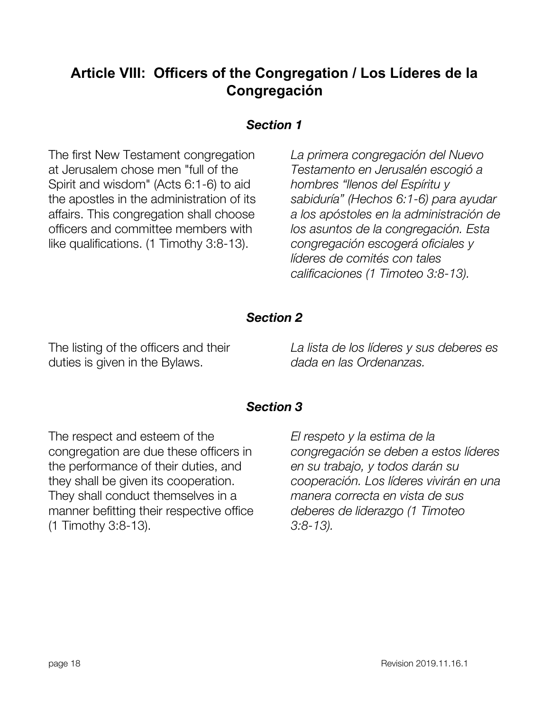## **Article VIII: Officers of the Congregation / Los Líderes de la Congregación**

#### *Section 1*

<span id="page-17-0"></span>The first New Testament congregation at Jerusalem chose men "full of the Spirit and wisdom" (Acts 6:1-6) to aid the apostles in the administration of its affairs. This congregation shall choose officers and committee members with like qualifications. (1 Timothy 3:8-13).

*La primera congregación del Nuevo Testamento en Jerusalén escogió a hombres "llenos del Espíritu y sabiduría" (Hechos 6:1-6) para ayudar a los apóstoles en la administración de los asuntos de la congregación. Esta congregación escogerá oficiales y líderes de comités con tales calificaciones (1 Timoteo 3:8-13).*

#### *Section 2*

<span id="page-17-1"></span>The listing of the officers and their duties is given in the Bylaws.

*La lista de los líderes y sus deberes es dada en las Ordenanzas.*

#### *Section 3*

<span id="page-17-3"></span><span id="page-17-2"></span>The respect and esteem of the congregation are due these officers in the performance of their duties, and they shall be given its cooperation. They shall conduct themselves in a manner befitting their respective office (1 Timothy 3:8-13).

*El respeto y la estima de la congregación se deben a estos líderes en su trabajo, y todos darán su cooperación. Los líderes vivirán en una manera correcta en vista de sus deberes de liderazgo (1 Timoteo 3:8-13).*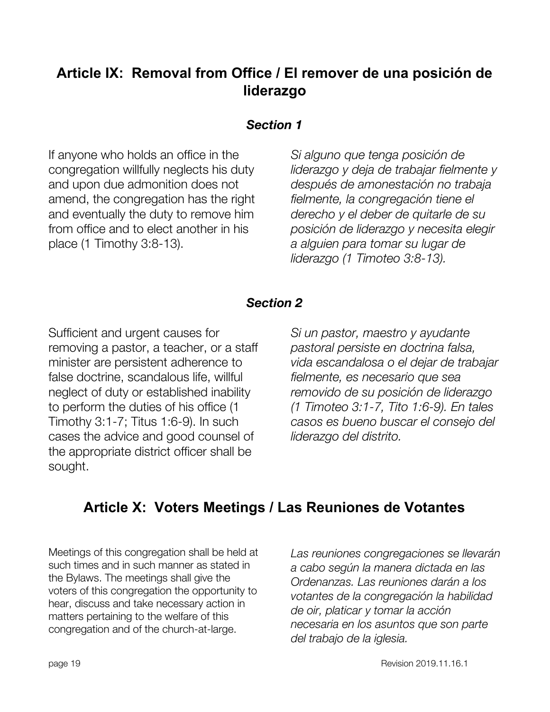## **Article IX: Removal from Office / El remover de una posición de liderazgo**

#### *Section 1*

<span id="page-18-0"></span>If anyone who holds an office in the congregation willfully neglects his duty and upon due admonition does not amend, the congregation has the right and eventually the duty to remove him from office and to elect another in his place (1 Timothy 3:8-13).

*Si alguno que tenga posición de liderazgo y deja de trabajar fielmente y después de amonestación no trabaja fielmente, la congregación tiene el derecho y el deber de quitarle de su posición de liderazgo y necesita elegir a alguien para tomar su lugar de liderazgo (1 Timoteo 3:8-13).*

#### *Section 2*

<span id="page-18-1"></span>Sufficient and urgent causes for removing a pastor, a teacher, or a staff minister are persistent adherence to false doctrine, scandalous life, willful neglect of duty or established inability to perform the duties of his office (1 Timothy 3:1-7; Titus 1:6-9). In such cases the advice and good counsel of the appropriate district officer shall be sought.

*Si un pastor, maestro y ayudante pastoral persiste en doctrina falsa, vida escandalosa o el dejar de trabajar fielmente, es necesario que sea removido de su posición de liderazgo (1 Timoteo 3:1-7, Tito 1:6-9). En tales casos es bueno buscar el consejo del liderazgo del distrito.*

## <span id="page-18-2"></span>**Article X: Voters Meetings / Las Reuniones de Votantes**

Meetings of this congregation shall be held at such times and in such manner as stated in the Bylaws. The meetings shall give the voters of this congregation the opportunity to hear, discuss and take necessary action in matters pertaining to the welfare of this congregation and of the church-at-large.

*Las reuniones congregaciones se llevarán a cabo según la manera dictada en las Ordenanzas. Las reuniones darán a los votantes de la congregación la habilidad de oir, platicar y tomar la acción necesaria en los asuntos que son parte del trabajo de la iglesia.*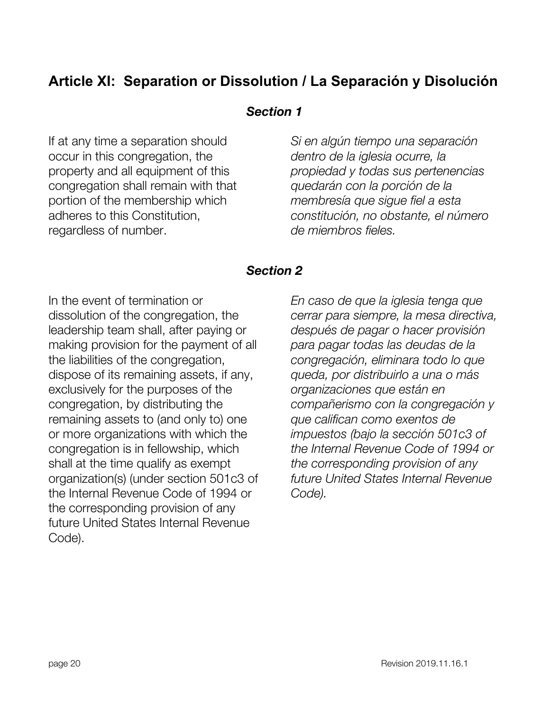## <span id="page-19-1"></span><span id="page-19-0"></span>**Article XI: Separation or Dissolution / La Separación y Disolución**

#### *Section 1*

If at any time a separation should occur in this congregation, the property and all equipment of this congregation shall remain with that portion of the membership which adheres to this Constitution, regardless of number.

*Si en algún tiempo una separación dentro de la iglesia ocurre, la propiedad y todas sus pertenencias quedarán con la porción de la membresía que sigue fiel a esta constitución, no obstante, el número de miembros fieles.*

#### *Section 2*

<span id="page-19-3"></span><span id="page-19-2"></span>In the event of termination or dissolution of the congregation, the leadership team shall, after paying or making provision for the payment of all the liabilities of the congregation, dispose of its remaining assets, if any, exclusively for the purposes of the congregation, by distributing the remaining assets to (and only to) one or more organizations with which the congregation is in fellowship, which shall at the time qualify as exempt organization(s) (under section 501c3 of the Internal Revenue Code of 1994 or the corresponding provision of any future United States Internal Revenue Code).

*En caso de que la iglesia tenga que cerrar para siempre, la mesa directiva, después de pagar o hacer provisión para pagar todas las deudas de la congregación, eliminara todo lo que queda, por distribuirlo a una o más organizaciones que están en compañerismo con la congregación y que califican como exentos de impuestos (bajo la sección 501c3 of the Internal Revenue Code of 1994 or the corresponding provision of any future United States Internal Revenue Code).*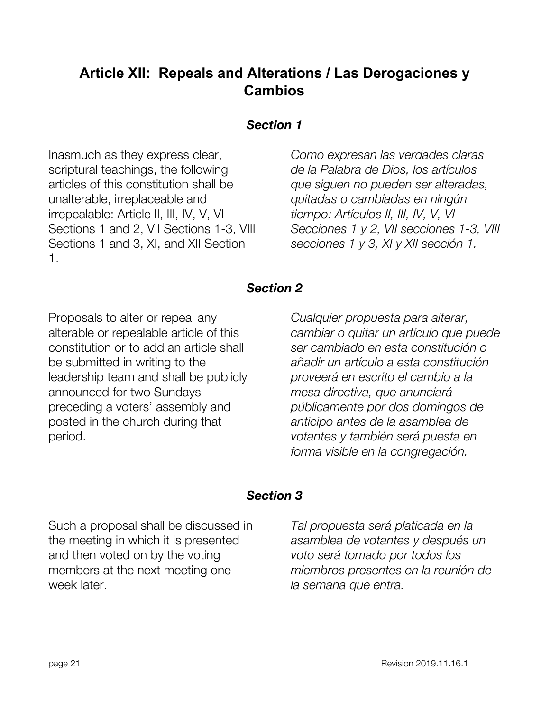## **Article XII: Repeals and Alterations / Las Derogaciones y Cambios**

#### *Section 1*

<span id="page-20-0"></span>Inasmuch as they express clear, scriptural teachings, the following articles of this constitution shall be unalterable, irreplaceable and irrepealable: Article II, III, IV, V, VI Sections 1 and 2, VII Sections 1-3, VIII Sections 1 and 3, XI, and XII Section 1.

*Como expresan las verdades claras de la Palabra de Dios, los artículos que siguen no pueden ser alteradas, quitadas o cambiadas en ningún tiempo: Artículos II, III, IV, V, VI Secciones 1 y 2, VII secciones 1-3, VIII secciones 1 y 3, XI y XII sección 1.*

#### *Section 2*

<span id="page-20-1"></span>Proposals to alter or repeal any alterable or repealable article of this constitution or to add an article shall be submitted in writing to the leadership team and shall be publicly announced for two Sundays preceding a voters' assembly and posted in the church during that period.

*Cualquier propuesta para alterar, cambiar o quitar un artículo que puede ser cambiado en esta constitución o añadir un artículo a esta constitución proveerá en escrito el cambio a la mesa directiva, que anunciará públicamente por dos domingos de anticipo antes de la asamblea de votantes y también será puesta en forma visible en la congregación.*

#### *Section 3*

<span id="page-20-2"></span>Such a proposal shall be discussed in the meeting in which it is presented and then voted on by the voting members at the next meeting one week later.

*Tal propuesta será platicada en la asamblea de votantes y después un voto será tomado por todos los miembros presentes en la reunión de la semana que entra.*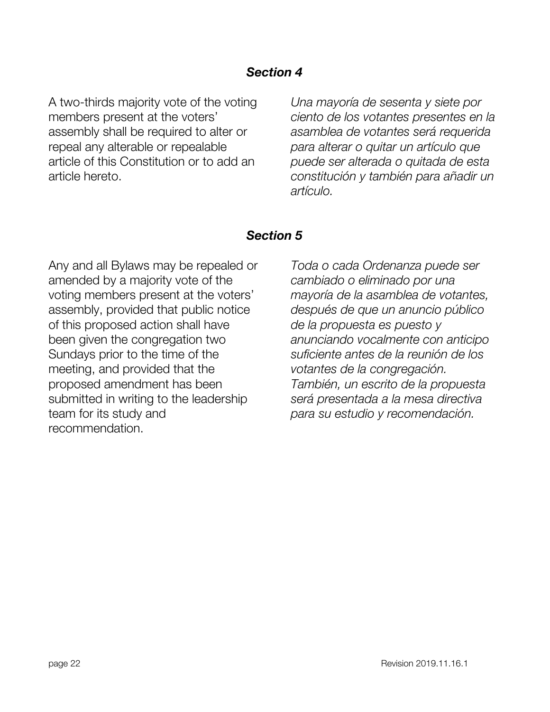<span id="page-21-0"></span>A two-thirds majority vote of the voting members present at the voters' assembly shall be required to alter or repeal any alterable or repealable article of this Constitution or to add an article hereto.

*Una mayoría de sesenta y siete por ciento de los votantes presentes en la asamblea de votantes será requerida para alterar o quitar un artículo que puede ser alterada o quitada de esta constitución y también para añadir un artículo.*

#### *Section 5*

<span id="page-21-1"></span>Any and all Bylaws may be repealed or amended by a majority vote of the voting members present at the voters' assembly, provided that public notice of this proposed action shall have been given the congregation two Sundays prior to the time of the meeting, and provided that the proposed amendment has been submitted in writing to the leadership team for its study and recommendation.

*Toda o cada Ordenanza puede ser cambiado o eliminado por una mayoría de la asamblea de votantes, después de que un anuncio público de la propuesta es puesto y anunciando vocalmente con anticipo suficiente antes de la reunión de los votantes de la congregación. También, un escrito de la propuesta será presentada a la mesa directiva para su estudio y recomendación.*